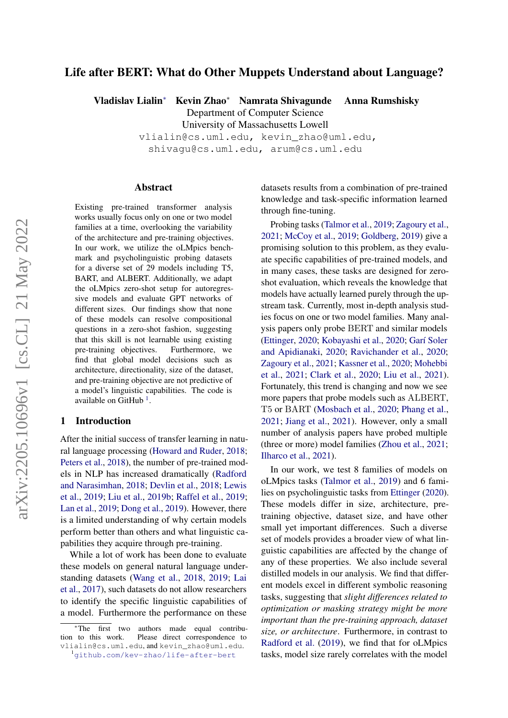# Life after BERT: What do Other Muppets Understand about Language?

Vladislav Lialin<sup>∗</sup> Kevin Zhao<sup>∗</sup> Namrata Shivagunde Anna Rumshisky

Department of Computer Science

University of Massachusetts Lowell

vlialin@cs.uml.edu, kevin\_zhao@uml.edu, shivagu@cs.uml.edu, arum@cs.uml.edu

#### Abstract

Existing pre-trained transformer analysis works usually focus only on one or two model families at a time, overlooking the variability of the architecture and pre-training objectives. In our work, we utilize the oLMpics benchmark and psycholinguistic probing datasets for a diverse set of 29 models including T5, BART, and ALBERT. Additionally, we adapt the oLMpics zero-shot setup for autoregressive models and evaluate GPT networks of different sizes. Our findings show that none of these models can resolve compositional questions in a zero-shot fashion, suggesting that this skill is not learnable using existing pre-training objectives. Furthermore, we find that global model decisions such as architecture, directionality, size of the dataset, and pre-training objective are not predictive of a model's linguistic capabilities. The code is available on GitHub<sup>[1](#page-0-0)</sup>.

#### 1 Introduction

After the initial success of transfer learning in natural language processing [\(Howard and Ruder,](#page-9-0) [2018;](#page-9-0) [Peters et al.,](#page-9-1) [2018\)](#page-9-1), the number of pre-trained models in NLP has increased dramatically [\(Radford](#page-10-0) [and Narasimhan,](#page-10-0) [2018;](#page-10-0) [Devlin et al.,](#page-8-0) [2018;](#page-8-0) [Lewis](#page-9-2) [et al.,](#page-9-2) [2019;](#page-9-2) [Liu et al.,](#page-9-3) [2019b;](#page-9-3) [Raffel et al.,](#page-10-1) [2019;](#page-10-1) [Lan et al.,](#page-9-4) [2019;](#page-9-4) [Dong et al.,](#page-8-1) [2019\)](#page-8-1). However, there is a limited understanding of why certain models perform better than others and what linguistic capabilities they acquire through pre-training.

While a lot of work has been done to evaluate these models on general natural language understanding datasets [\(Wang et al.,](#page-10-2) [2018,](#page-10-2) [2019;](#page-10-3) [Lai](#page-9-5) [et al.,](#page-9-5) [2017\)](#page-9-5), such datasets do not allow researchers to identify the specific linguistic capabilities of a model. Furthermore the performance on these

datasets results from a combination of pre-trained knowledge and task-specific information learned through fine-tuning.

Probing tasks [\(Talmor et al.,](#page-10-4) [2019;](#page-10-4) [Zagoury et al.,](#page-10-5) [2021;](#page-10-5) [McCoy et al.,](#page-9-6) [2019;](#page-9-6) [Goldberg,](#page-9-7) [2019\)](#page-9-7) give a promising solution to this problem, as they evaluate specific capabilities of pre-trained models, and in many cases, these tasks are designed for zeroshot evaluation, which reveals the knowledge that models have actually learned purely through the upstream task. Currently, most in-depth analysis studies focus on one or two model families. Many analysis papers only probe BERT and similar models [\(Ettinger,](#page-8-2) [2020;](#page-8-2) [Kobayashi et al.,](#page-9-8) [2020;](#page-9-8) [Garí Soler](#page-9-9) [and Apidianaki,](#page-9-9) [2020;](#page-9-9) [Ravichander et al.,](#page-10-6) [2020;](#page-10-6) [Zagoury et al.,](#page-10-5) [2021;](#page-10-5) [Kassner et al.,](#page-9-10) [2020;](#page-9-10) [Mohebbi](#page-9-11) [et al.,](#page-9-11) [2021;](#page-9-11) [Clark et al.,](#page-8-3) [2020;](#page-8-3) [Liu et al.,](#page-9-12) [2021\)](#page-9-12). Fortunately, this trend is changing and now we see more papers that probe models such as ALBERT, T5 or BART [\(Mosbach et al.,](#page-9-13) [2020;](#page-9-13) [Phang et al.,](#page-10-7) [2021;](#page-10-7) [Jiang et al.,](#page-9-14) [2021\)](#page-9-14). However, only a small number of analysis papers have probed multiple (three or more) model families [\(Zhou et al.,](#page-10-8) [2021;](#page-10-8) [Ilharco et al.,](#page-9-15) [2021\)](#page-9-15).

In our work, we test 8 families of models on oLMpics tasks [\(Talmor et al.,](#page-10-4) [2019\)](#page-10-4) and 6 families on psycholinguistic tasks from [Ettinger](#page-8-2) [\(2020\)](#page-8-2). These models differ in size, architecture, pretraining objective, dataset size, and have other small yet important differences. Such a diverse set of models provides a broader view of what linguistic capabilities are affected by the change of any of these properties. We also include several distilled models in our analysis. We find that different models excel in different symbolic reasoning tasks, suggesting that *slight differences related to optimization or masking strategy might be more important than the pre-training approach, dataset size, or architecture*. Furthermore, in contrast to [Radford et al.](#page-10-9) [\(2019\)](#page-10-9), we find that for oLMpics tasks, model size rarely correlates with the model

<span id="page-0-0"></span><sup>\*</sup>The first two authors made equal contribu-<br>tion to this work. Please direct correspondence to Please direct correspondence to vlialin@cs.uml.edu, and kevin\_zhao@uml.edu. <sup>1</sup><github.com/kev-zhao/life-after-bert>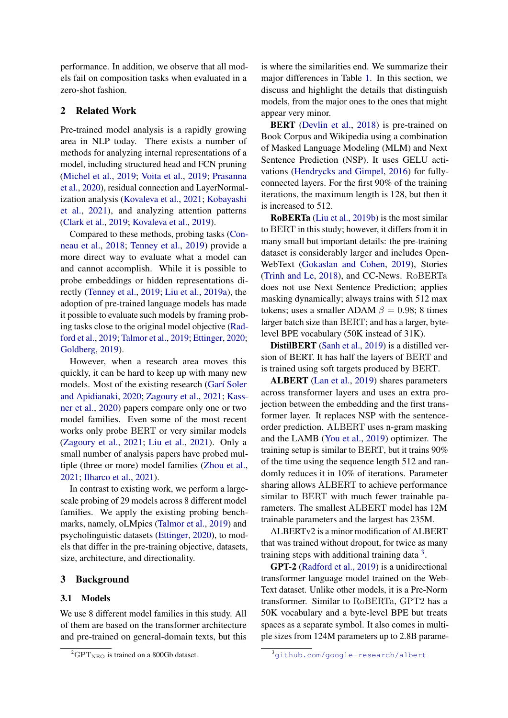performance. In addition, we observe that all models fail on composition tasks when evaluated in a zero-shot fashion.

# 2 Related Work

Pre-trained model analysis is a rapidly growing area in NLP today. There exists a number of methods for analyzing internal representations of a model, including structured head and FCN pruning [\(Michel et al.,](#page-9-16) [2019;](#page-9-16) [Voita et al.,](#page-10-10) [2019;](#page-10-10) [Prasanna](#page-10-11) [et al.,](#page-10-11) [2020\)](#page-10-11), residual connection and LayerNormalization analysis [\(Kovaleva et al.,](#page-9-17) [2021;](#page-9-17) [Kobayashi](#page-9-18) [et al.,](#page-9-18) [2021\)](#page-9-18), and analyzing attention patterns [\(Clark et al.,](#page-8-4) [2019;](#page-8-4) [Kovaleva et al.,](#page-9-19) [2019\)](#page-9-19).

Compared to these methods, probing tasks [\(Con](#page-8-5)[neau et al.,](#page-8-5) [2018;](#page-8-5) [Tenney et al.,](#page-10-12) [2019\)](#page-10-12) provide a more direct way to evaluate what a model can and cannot accomplish. While it is possible to probe embeddings or hidden representations directly [\(Tenney et al.,](#page-10-12) [2019;](#page-10-12) [Liu et al.,](#page-9-20) [2019a\)](#page-9-20), the adoption of pre-trained language models has made it possible to evaluate such models by framing probing tasks close to the original model objective [\(Rad](#page-10-9)[ford et al.,](#page-10-9) [2019;](#page-10-9) [Talmor et al.,](#page-10-4) [2019;](#page-10-4) [Ettinger,](#page-8-2) [2020;](#page-8-2) [Goldberg,](#page-9-7) [2019\)](#page-9-7).

However, when a research area moves this quickly, it can be hard to keep up with many new models. Most of the existing research [\(Garí Soler](#page-9-9) [and Apidianaki,](#page-9-9) [2020;](#page-9-9) [Zagoury et al.,](#page-10-5) [2021;](#page-10-5) [Kass](#page-9-10)[ner et al.,](#page-9-10) [2020\)](#page-9-10) papers compare only one or two model families. Even some of the most recent works only probe BERT or very similar models [\(Zagoury et al.,](#page-10-5) [2021;](#page-10-5) [Liu et al.,](#page-9-12) [2021\)](#page-9-12). Only a small number of analysis papers have probed multiple (three or more) model families [\(Zhou et al.,](#page-10-8) [2021;](#page-10-8) [Ilharco et al.,](#page-9-15) [2021\)](#page-9-15).

In contrast to existing work, we perform a largescale probing of 29 models across 8 different model families. We apply the existing probing benchmarks, namely, oLMpics [\(Talmor et al.,](#page-10-4) [2019\)](#page-10-4) and psycholinguistic datasets [\(Ettinger,](#page-8-2) [2020\)](#page-8-2), to models that differ in the pre-training objective, datasets, size, architecture, and directionality.

### 3 Background

### 3.1 Models

We use 8 different model families in this study. All of them are based on the transformer architecture and pre-trained on general-domain texts, but this

is where the similarities end. We summarize their major differences in Table [1.](#page-2-0) In this section, we discuss and highlight the details that distinguish models, from the major ones to the ones that might appear very minor.

BERT [\(Devlin et al.,](#page-8-0) [2018\)](#page-8-0) is pre-trained on Book Corpus and Wikipedia using a combination of Masked Language Modeling (MLM) and Next Sentence Prediction (NSP). It uses GELU activations [\(Hendrycks and Gimpel,](#page-9-21) [2016\)](#page-9-21) for fullyconnected layers. For the first 90% of the training iterations, the maximum length is 128, but then it is increased to 512.

RoBERTa [\(Liu et al.,](#page-9-3) [2019b\)](#page-9-3) is the most similar to BERT in this study; however, it differs from it in many small but important details: the pre-training dataset is considerably larger and includes Open-WebText [\(Gokaslan and Cohen,](#page-9-22) [2019\)](#page-9-22), Stories [\(Trinh and Le,](#page-10-13) [2018\)](#page-10-13), and CC-News. RoBERTa does not use Next Sentence Prediction; applies masking dynamically; always trains with 512 max tokens; uses a smaller ADAM  $\beta = 0.98$ ; 8 times larger batch size than BERT; and has a larger, bytelevel BPE vocabulary (50K instead of 31K).

DistilBERT [\(Sanh et al.,](#page-10-14) [2019\)](#page-10-14) is a distilled version of BERT. It has half the layers of BERT and is trained using soft targets produced by BERT.

ALBERT [\(Lan et al.,](#page-9-4) [2019\)](#page-9-4) shares parameters across transformer layers and uses an extra projection between the embedding and the first transformer layer. It replaces NSP with the sentenceorder prediction. ALBERT uses n-gram masking and the LAMB [\(You et al.,](#page-10-15) [2019\)](#page-10-15) optimizer. The training setup is similar to BERT, but it trains 90% of the time using the sequence length 512 and randomly reduces it in 10% of iterations. Parameter sharing allows ALBERT to achieve performance similar to BERT with much fewer trainable parameters. The smallest ALBERT model has 12M trainable parameters and the largest has 235M.

ALBERTv2 is a minor modification of ALBERT that was trained without dropout, for twice as many training steps with additional training data  $3$ .

GPT-2 [\(Radford et al.,](#page-10-9) [2019\)](#page-10-9) is a unidirectional transformer language model trained on the Web-Text dataset. Unlike other models, it is a Pre-Norm transformer. Similar to RoBERTa, GPT2 has a 50K vocabulary and a byte-level BPE but treats spaces as a separate symbol. It also comes in multiple sizes from 124M parameters up to 2.8B parame-

<span id="page-1-1"></span> ${}^{2}GPT_{NEO}$  is trained on a 800Gb dataset.

<span id="page-1-0"></span><sup>3</sup><github.com/google-research/albert>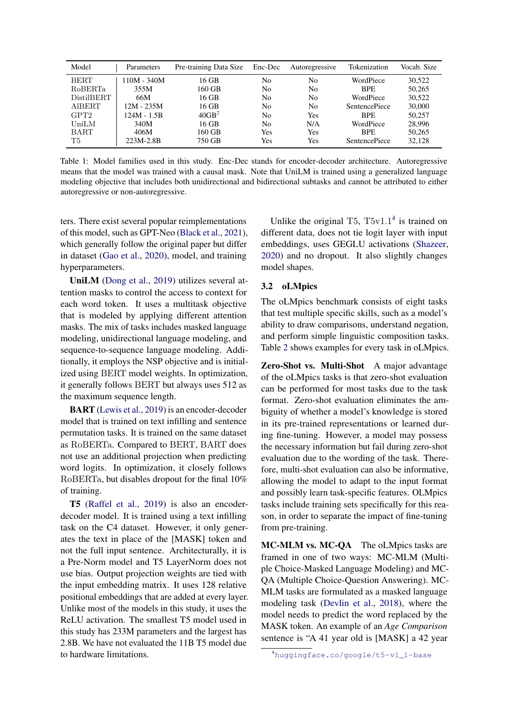<span id="page-2-0"></span>

| Model            | Parameters    | Pre-training Data Size | Enc-Dec | Autoregressive | Tokenization         | Vocab. Size |
|------------------|---------------|------------------------|---------|----------------|----------------------|-------------|
| <b>BERT</b>      | $10M - 340M$  | 16 GB                  | No      | No             | WordPiece            | 30.522      |
| <b>ROBERTa</b>   | 355M          | 160 GB                 | No      | No.            | <b>BPE</b>           | 50,265      |
| DistilBERT       | 66M           | 16 GB                  | No      | No             | WordPiece            | 30.522      |
| <b>AIBERT</b>    | $12M - 235M$  | $16$ GB                | No      | No             | <b>SentencePiece</b> | 30,000      |
| GPT <sub>2</sub> | $124M - 1.5B$ | 40GB <sup>2</sup>      | No      | Yes            | <b>BPE</b>           | 50.257      |
| <b>UniLM</b>     | 340M          | 16 GB                  | No      | N/A            | WordPiece            | 28,996      |
| <b>BART</b>      | 406M          | 160 GB                 | Yes     | Yes            | <b>BPE</b>           | 50,265      |
| T <sub>5</sub>   | 223M-2.8B     | 750 GB                 | Yes     | Yes            | <b>SentencePiece</b> | 32,128      |

Table 1: Model families used in this study. Enc-Dec stands for encoder-decoder architecture. Autoregressive means that the model was trained with a causal mask. Note that UniLM is trained using a generalized language modeling objective that includes both unidirectional and bidirectional subtasks and cannot be attributed to either autoregressive or non-autoregressive.

ters. There exist several popular reimplementations of this model, such as GPT-Neo [\(Black et al.,](#page-8-6) [2021\)](#page-8-6), which generally follow the original paper but differ in dataset [\(Gao et al.,](#page-8-7) [2020\)](#page-8-7), model, and training hyperparameters.

UniLM [\(Dong et al.,](#page-8-1) [2019\)](#page-8-1) utilizes several attention masks to control the access to context for each word token. It uses a multitask objective that is modeled by applying different attention masks. The mix of tasks includes masked language modeling, unidirectional language modeling, and sequence-to-sequence language modeling. Additionally, it employs the NSP objective and is initialized using BERT model weights. In optimization, it generally follows BERT but always uses 512 as the maximum sequence length.

BART [\(Lewis et al.,](#page-9-2) [2019\)](#page-9-2) is an encoder-decoder model that is trained on text infilling and sentence permutation tasks. It is trained on the same dataset as RoBERTa. Compared to BERT, BART does not use an additional projection when predicting word logits. In optimization, it closely follows RoBERTa, but disables dropout for the final 10% of training.

T5 [\(Raffel et al.,](#page-10-1) [2019\)](#page-10-1) is also an encoderdecoder model. It is trained using a text infilling task on the C4 dataset. However, it only generates the text in place of the [MASK] token and not the full input sentence. Architecturally, it is a Pre-Norm model and T5 LayerNorm does not use bias. Output projection weights are tied with the input embedding matrix. It uses 128 relative positional embeddings that are added at every layer. Unlike most of the models in this study, it uses the ReLU activation. The smallest T5 model used in this study has 233M parameters and the largest has 2.8B. We have not evaluated the 11B T5 model due to hardware limitations.

Unlike the original T5,  $T5v1.1<sup>4</sup>$  $T5v1.1<sup>4</sup>$  $T5v1.1<sup>4</sup>$  is trained on different data, does not tie logit layer with input embeddings, uses GEGLU activations [\(Shazeer,](#page-10-16) [2020\)](#page-10-16) and no dropout. It also slightly changes model shapes.

### 3.2 oLMpics

The oLMpics benchmark consists of eight tasks that test multiple specific skills, such as a model's ability to draw comparisons, understand negation, and perform simple linguistic composition tasks. Table [2](#page-3-0) shows examples for every task in oLMpics.

Zero-Shot vs. Multi-Shot A major advantage of the oLMpics tasks is that zero-shot evaluation can be performed for most tasks due to the task format. Zero-shot evaluation eliminates the ambiguity of whether a model's knowledge is stored in its pre-trained representations or learned during fine-tuning. However, a model may possess the necessary information but fail during zero-shot evaluation due to the wording of the task. Therefore, multi-shot evaluation can also be informative, allowing the model to adapt to the input format and possibly learn task-specific features. OLMpics tasks include training sets specifically for this reason, in order to separate the impact of fine-tuning from pre-training.

MC-MLM vs. MC-QA The oLMpics tasks are framed in one of two ways: MC-MLM (Multiple Choice-Masked Language Modeling) and MC-QA (Multiple Choice-Question Answering). MC-MLM tasks are formulated as a masked language modeling task [\(Devlin et al.,](#page-8-0) [2018\)](#page-8-0), where the model needs to predict the word replaced by the MASK token. An example of an *Age Comparison* sentence is "A 41 year old is [MASK] a 42 year

<span id="page-2-1"></span><sup>4</sup>[huggingface.co/google/t5-v1\\_1-base](huggingface.co/google/t5-v1_1-base)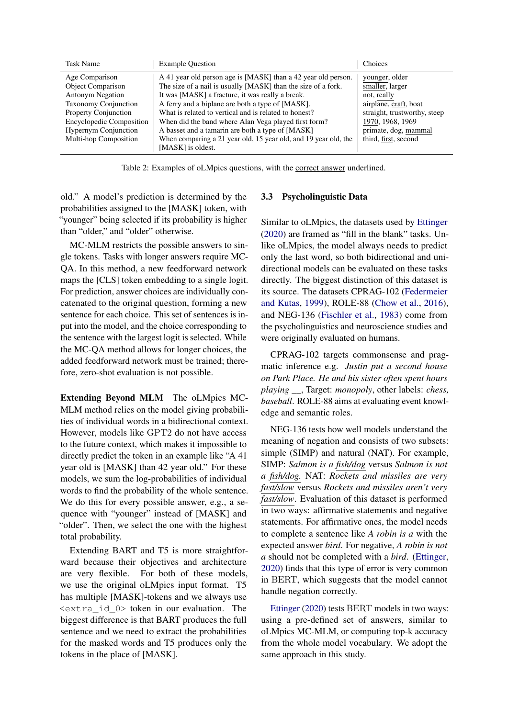<span id="page-3-0"></span>

| <b>Task Name</b>                                                                                                                                                                                                        | <b>Example Ouestion</b>                                                                                                                                                                                                                                                                                                                                                                                                                                                                             | Choices                                                                                                                                                                       |
|-------------------------------------------------------------------------------------------------------------------------------------------------------------------------------------------------------------------------|-----------------------------------------------------------------------------------------------------------------------------------------------------------------------------------------------------------------------------------------------------------------------------------------------------------------------------------------------------------------------------------------------------------------------------------------------------------------------------------------------------|-------------------------------------------------------------------------------------------------------------------------------------------------------------------------------|
| Age Comparison<br><b>Object Comparison</b><br><b>Antonym Negation</b><br><b>Taxonomy Conjunction</b><br>Property Conjunction<br><b>Encyclopedic Composition</b><br><b>Hypernym Conjunction</b><br>Multi-hop Composition | A 41 year old person age is [MASK] than a 42 year old person.<br>The size of a nail is usually [MASK] than the size of a fork.<br>It was [MASK] a fracture, it was really a break.<br>A ferry and a biplane are both a type of [MASK].<br>What is related to vertical and is related to honest?<br>When did the band where Alan Vega played first form?<br>A basset and a tamarin are both a type of [MASK]<br>When comparing a 21 year old, 15 year old, and 19 year old, the<br>[MASK] is oldest. | younger, older<br>smaller, larger<br>not, really<br>airplane, craft, boat<br>straight, trustworthy, steep<br>1970, 1968, 1969<br>primate, dog, mammal<br>third, first, second |

Table 2: Examples of oLMpics questions, with the correct answer underlined.

old." A model's prediction is determined by the probabilities assigned to the [MASK] token, with "younger" being selected if its probability is higher than "older," and "older" otherwise.

MC-MLM restricts the possible answers to single tokens. Tasks with longer answers require MC-QA. In this method, a new feedforward network maps the [CLS] token embedding to a single logit. For prediction, answer choices are individually concatenated to the original question, forming a new sentence for each choice. This set of sentences is input into the model, and the choice corresponding to the sentence with the largest logit is selected. While the MC-QA method allows for longer choices, the added feedforward network must be trained; therefore, zero-shot evaluation is not possible.

Extending Beyond MLM The oLMpics MC-MLM method relies on the model giving probabilities of individual words in a bidirectional context. However, models like GPT2 do not have access to the future context, which makes it impossible to directly predict the token in an example like "A 41 year old is [MASK] than 42 year old." For these models, we sum the log-probabilities of individual words to find the probability of the whole sentence. We do this for every possible answer, e.g., a sequence with "younger" instead of [MASK] and "older". Then, we select the one with the highest total probability.

Extending BART and T5 is more straightforward because their objectives and architecture are very flexible. For both of these models, we use the original oLMpics input format. T5 has multiple [MASK]-tokens and we always use <extra\_id\_0> token in our evaluation. The biggest difference is that BART produces the full sentence and we need to extract the probabilities for the masked words and T5 produces only the tokens in the place of [MASK].

# 3.3 Psycholinguistic Data

Similar to oLMpics, the datasets used by [Ettinger](#page-8-2) [\(2020\)](#page-8-2) are framed as "fill in the blank" tasks. Unlike oLMpics, the model always needs to predict only the last word, so both bidirectional and unidirectional models can be evaluated on these tasks directly. The biggest distinction of this dataset is its source. The datasets CPRAG-102 [\(Federmeier](#page-8-8) [and Kutas,](#page-8-8) [1999\)](#page-8-8), ROLE-88 [\(Chow et al.,](#page-8-9) [2016\)](#page-8-9), and NEG-136 [\(Fischler et al.,](#page-8-10) [1983\)](#page-8-10) come from the psycholinguistics and neuroscience studies and were originally evaluated on humans.

CPRAG-102 targets commonsense and pragmatic inference e.g. *Justin put a second house on Park Place. He and his sister often spent hours playing \_\_*, Target: *monopoly*, other labels: *chess, baseball*. ROLE-88 aims at evaluating event knowledge and semantic roles.

NEG-136 tests how well models understand the meaning of negation and consists of two subsets: simple (SIMP) and natural (NAT). For example, SIMP: *Salmon is a fish/dog* versus *Salmon is not a fish/dog.* NAT: *Rockets and missiles are very fast/slow* versus *Rockets and missiles aren't very fast/slow*. Evaluation of this dataset is performed in two ways: affirmative statements and negative statements. For affirmative ones, the model needs to complete a sentence like *A robin is a* with the expected answer *bird*. For negative, *A robin is not a* should not be completed with a *bird*. [\(Ettinger,](#page-8-2) [2020\)](#page-8-2) finds that this type of error is very common in BERT, which suggests that the model cannot handle negation correctly.

[Ettinger](#page-8-2) [\(2020\)](#page-8-2) tests BERT models in two ways: using a pre-defined set of answers, similar to oLMpics MC-MLM, or computing top-k accuracy from the whole model vocabulary. We adopt the same approach in this study.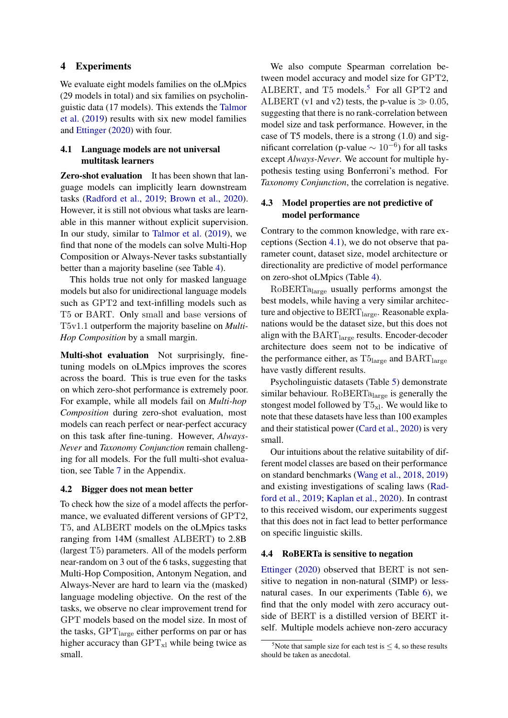## 4 Experiments

We evaluate eight models families on the oLMpics (29 models in total) and six families on psycholinguistic data (17 models). This extends the [Talmor](#page-10-4) [et al.](#page-10-4) [\(2019\)](#page-10-4) results with six new model families and [Ettinger](#page-8-2) [\(2020\)](#page-8-2) with four.

# <span id="page-4-1"></span>4.1 Language models are not universal multitask learners

**Zero-shot evaluation** It has been shown that language models can implicitly learn downstream tasks [\(Radford et al.,](#page-10-9) [2019;](#page-10-9) [Brown et al.,](#page-8-11) [2020\)](#page-8-11). However, it is still not obvious what tasks are learnable in this manner without explicit supervision. In our study, similar to [Talmor et al.](#page-10-4) [\(2019\)](#page-10-4), we find that none of the models can solve Multi-Hop Composition or Always-Never tasks substantially better than a majority baseline (see Table [4\)](#page-5-0).

This holds true not only for masked language models but also for unidirectional language models such as GPT2 and text-infilling models such as T5 or BART. Only small and base versions of T5v1.1 outperform the majority baseline on *Multi-Hop Composition* by a small margin.

Multi-shot evaluation Not surprisingly, finetuning models on oLMpics improves the scores across the board. This is true even for the tasks on which zero-shot performance is extremely poor. For example, while all models fail on *Multi-hop Composition* during zero-shot evaluation, most models can reach perfect or near-perfect accuracy on this task after fine-tuning. However, *Always-Never* and *Taxonomy Conjunction* remain challenging for all models. For the full multi-shot evaluation, see Table [7](#page-12-0) in the Appendix.

#### 4.2 Bigger does not mean better

To check how the size of a model affects the performance, we evaluated different versions of GPT2, T5, and ALBERT models on the oLMpics tasks ranging from 14M (smallest ALBERT) to 2.8B (largest T5) parameters. All of the models perform near-random on 3 out of the 6 tasks, suggesting that Multi-Hop Composition, Antonym Negation, and Always-Never are hard to learn via the (masked) language modeling objective. On the rest of the tasks, we observe no clear improvement trend for GPT models based on the model size. In most of the tasks, GPT<sub>large</sub> either performs on par or has higher accuracy than  $GPT_{x}$  while being twice as small.

We also compute Spearman correlation between model accuracy and model size for GPT2, ALBERT, and T[5](#page-4-0) models.<sup>5</sup> For all GPT2 and ALBERT (v1 and v2) tests, the p-value is  $\gg 0.05$ , suggesting that there is no rank-correlation between model size and task performance. However, in the case of T5 models, there is a strong (1.0) and significant correlation (p-value  $\sim 10^{-6}$ ) for all tasks except *Always-Never*. We account for multiple hypothesis testing using Bonferroni's method. For *Taxonomy Conjunction*, the correlation is negative.

# 4.3 Model properties are not predictive of model performance

Contrary to the common knowledge, with rare exceptions (Section [4.1\)](#page-4-1), we do not observe that parameter count, dataset size, model architecture or directionality are predictive of model performance on zero-shot oLMpics (Table [4\)](#page-5-0).

RoBERTa<sub>large</sub> usually performs amongst the best models, while having a very similar architecture and objective to  $BERT_{\text{large}}$ . Reasonable explanations would be the dataset size, but this does not align with the  $\text{BART}_\text{large}$  results. Encoder-decoder architecture does seem not to be indicative of the performance either, as  $\mathrm{T5}_{\mathrm{large}}$  and  $\mathrm{BART}_{\mathrm{large}}$ have vastly different results.

Psycholinguistic datasets (Table [5\)](#page-7-0) demonstrate similar behaviour. Ro $BERTa<sub>large</sub>$  is generally the stongest model followed by  $T5_{x}$ . We would like to note that these datasets have less than 100 examples and their statistical power [\(Card et al.,](#page-8-12) [2020\)](#page-8-12) is very small.

Our intuitions about the relative suitability of different model classes are based on their performance on standard benchmarks [\(Wang et al.,](#page-10-2) [2018,](#page-10-2) [2019\)](#page-10-3) and existing investigations of scaling laws [\(Rad](#page-10-9)[ford et al.,](#page-10-9) [2019;](#page-10-9) [Kaplan et al.,](#page-9-23) [2020\)](#page-9-23). In contrast to this received wisdom, our experiments suggest that this does not in fact lead to better performance on specific linguistic skills.

### 4.4 RoBERTa is sensitive to negation

[Ettinger](#page-8-2) [\(2020\)](#page-8-2) observed that BERT is not sensitive to negation in non-natural (SIMP) or lessnatural cases. In our experiments (Table [6\)](#page-7-1), we find that the only model with zero accuracy outside of BERT is a distilled version of BERT itself. Multiple models achieve non-zero accuracy

<span id="page-4-0"></span><sup>&</sup>lt;sup>5</sup>Note that sample size for each test is  $\leq$  4, so these results should be taken as anecdotal.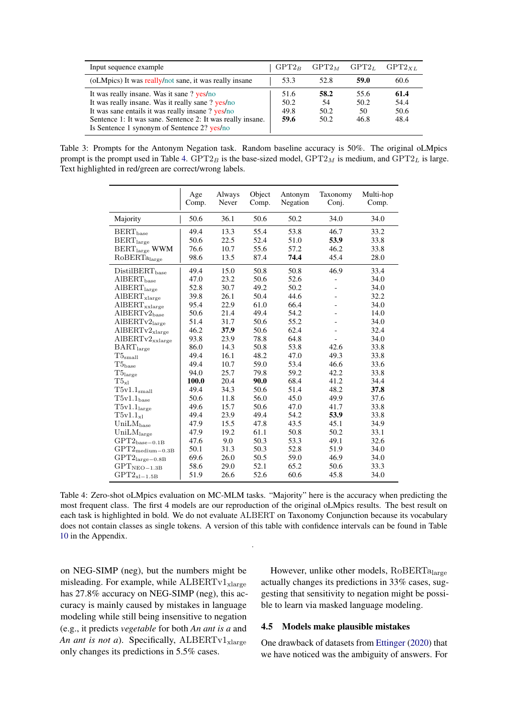<span id="page-5-1"></span>

| Input sequence example                                                                                                                                                                                                                                           | $GPT2_B$                     | $GPT2_M$                   | GPT2L                      | GPT2xL                       |
|------------------------------------------------------------------------------------------------------------------------------------------------------------------------------------------------------------------------------------------------------------------|------------------------------|----------------------------|----------------------------|------------------------------|
| (oLMpics) It was really/not sane, it was really insane                                                                                                                                                                                                           | 53.3                         | 52.8                       | 59.0                       | 60.6                         |
| It was really insane. Was it sane? yes/no<br>It was really insane. Was it really sane ? yes/no<br>It was sane entails it was really insane ? yes/no<br>Sentence 1: It was sane. Sentence 2: It was really insane.<br>Is Sentence 1 synonym of Sentence 2? yes/no | 51.6<br>50.2<br>49.8<br>59.6 | 58.2<br>54<br>50.2<br>50.2 | 55.6<br>50.2<br>50<br>46.8 | 61.4<br>54.4<br>50.6<br>48.4 |

<span id="page-5-0"></span>Table 3: Prompts for the Antonym Negation task. Random baseline accuracy is 50%. The original oLMpics prompt is the prompt used in Table [4.](#page-5-0)  $GPT2_B$  is the base-sized model,  $GPT2_M$  is medium, and  $GPT2_L$  is large. Text highlighted in red/green are correct/wrong labels.

|                                               | Age<br>Comp. | Always<br>Never | Object<br>Comp. | Antonym<br>Negation | Taxonomy<br>Conj. | Multi-hop<br>Comp. |
|-----------------------------------------------|--------------|-----------------|-----------------|---------------------|-------------------|--------------------|
| Majority                                      | 50.6         | 36.1            | 50.6            | 50.2                | 34.0              | 34.0               |
| $BERT_{base}$                                 | 49.4         | 13.3            | 55.4            | 53.8                | 46.7              | 33.2               |
| $BERT_{large}$                                | 50.6         | 22.5            | 52.4            | 51.0                | 53.9              | 33.8               |
| $BERT_{large}$ WWM                            | 76.6         | 10.7            | 55.6            | 57.2                | 46.2              | 33.8               |
| RoBERTa <sub>large</sub>                      | 98.6         | 13.5            | 87.4            | 74.4                | 45.4              | 28.0               |
| DistilBERT <sub>base</sub>                    | 49.4         | 15.0            | 50.8            | 50.8                | 46.9              | 33.4               |
| $AIBERT_{base}$                               | 47.0         | 23.2            | 50.6            | 52.6                |                   | 34.0               |
| $\text{AIBERT}_{\text{large}}$                | 52.8         | 30.7            | 49.2            | 50.2                | $\overline{a}$    | 34.0               |
| $\text{AIBERT}_\text{xlarge}$                 | 39.8         | 26.1            | 50.4            | 44.6                |                   | 32.2               |
| $\text{AIBERT}_{\text{xxlarge}}$              | 95.4         | 22.9            | 61.0            | 66.4                |                   | 34.0               |
| $\rm{AlBERTv2_{base}}$                        | 50.6         | 21.4            | 49.4            | 54.2                |                   | 14.0               |
| AIBERTv2 <sub>large</sub>                     | 51.4         | 31.7            | 50.6            | 55.2                |                   | 34.0               |
| $\text{AIBERTv2}_\text{xlarge}$               | 46.2         | 37.9            | 50.6            | 62.4                |                   | 32.4               |
| $AIBERTv2_{\text{xxlarge}}$                   | 93.8         | 23.9            | 78.8            | 64.8                |                   | 34.0               |
| $\text{BART}_\text{large}$                    | 86.0         | 14.3            | 50.8            | 53.8                | 42.6              | 33.8               |
| $\rm{T5}_{\rm small}$                         | 49.4         | 16.1            | 48.2            | 47.0                | 49.3              | 33.8               |
| $\rm{T5}_{\rm{base}}$                         | 49.4         | 10.7            | 59.0            | 53.4                | 46.6              | 33.6               |
| $\mathrm{T5}_{\mathrm{large}}$                | 94.0         | 25.7            | 79.8            | 59.2                | 42.2              | 33.8               |
| $\mathrm{T}5_{\mathrm{xl}}$                   | 100.0        | 20.4            | 90.0            | 68.4                | 41.2              | 34.4               |
| $T5v1.1_{small}$                              | 49.4         | 34.3            | 50.6            | 51.4                | 48.2              | 37.8               |
| $\rm T5v1.1_{\rm base}$                       | 50.6         | 11.8            | 56.0            | 45.0                | 49.9              | 37.6               |
| T5v1.1 <sub>large</sub>                       | 49.6         | 15.7            | 50.6            | 47.0                | 41.7              | 33.8               |
| $T5v1.1_{x1}$                                 | 49.4         | 23.9            | 49.4            | 54.2                | 53.9              | 33.8               |
| $UniLM_{\text{base}}$                         | 47.9         | 15.5            | 47.8            | 43.5                | 45.1              | 34.9               |
| $\text{UniLM}_\text{large}$                   | 47.9         | 19.2            | 61.1            | 50.8                | 50.2              | 33.1               |
| $\mathrm{GPT2}_{\mathrm{base}-0.1\mathrm{B}}$ | 47.6         | 9.0             | 50.3            | 53.3                | 49.1              | 32.6               |
| $\mathrm{GPT2}_{\mathrm{medium}-0.3B}$        | 50.1         | 31.3            | 50.3            | 52.8                | 51.9              | 34.0               |
| $\mathrm{GPT2}_{\mathrm{large}-0.8B}$         | 69.6         | 26.0            | 50.5            | 59.0                | 46.9              | 34.0               |
| $GPTNEO-1.3B$                                 | 58.6         | 29.0            | 52.1            | 65.2                | 50.6              | 33.3               |
| $\mathrm{GPT2}_{\mathrm{x}1-1.5\mathrm{B}}$   | 51.9         | 26.6            | 52.6            | 60.6                | 45.8              | 34.0               |

Table 4: Zero-shot oLMpics evaluation on MC-MLM tasks. "Majority" here is the accuracy when predicting the most frequent class. The first 4 models are our reproduction of the original oLMpics results. The best result on each task is highlighted in bold. We do not evaluate ALBERT on Taxonomy Conjunction because its vocabulary does not contain classes as single tokens. A version of this table with confidence intervals can be found in Table [10](#page-13-0) in the Appendix.

.

on NEG-SIMP (neg), but the numbers might be misleading. For example, while  $\text{ALEERTv1}_{\text{xlarge}}$ has 27.8% accuracy on NEG-SIMP (neg), this accuracy is mainly caused by mistakes in language modeling while still being insensitive to negation (e.g., it predicts *vegetable* for both *An ant is a* and *An ant is not a*). Specifically,  $ALBERTv1_{\text{slarge}}$ only changes its predictions in 5.5% cases.

However, unlike other models, RoBERTalarge actually changes its predictions in 33% cases, suggesting that sensitivity to negation might be possible to learn via masked language modeling.

#### 4.5 Models make plausible mistakes

One drawback of datasets from [Ettinger](#page-8-2) [\(2020\)](#page-8-2) that we have noticed was the ambiguity of answers. For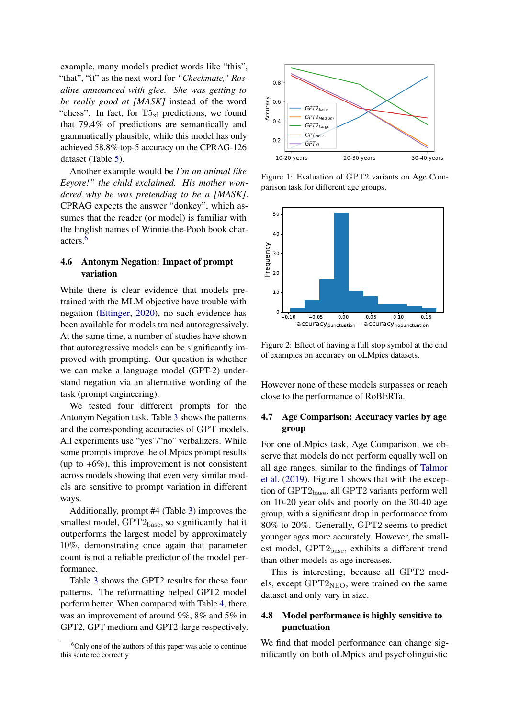example, many models predict words like "this", "that", "it" as the next word for *"Checkmate," Rosaline announced with glee. She was getting to be really good at [MASK]* instead of the word "chess". In fact, for  $T5_{x}$  predictions, we found that 79.4% of predictions are semantically and grammatically plausible, while this model has only achieved 58.8% top-5 accuracy on the CPRAG-126 dataset (Table [5\)](#page-7-0).

Another example would be *I'm an animal like Eeyore!" the child exclaimed. His mother wondered why he was pretending to be a [MASK]*. CPRAG expects the answer "donkey", which assumes that the reader (or model) is familiar with the English names of Winnie-the-Pooh book characters.[6](#page-6-0)

### 4.6 Antonym Negation: Impact of prompt variation

While there is clear evidence that models pretrained with the MLM objective have trouble with negation [\(Ettinger,](#page-8-2) [2020\)](#page-8-2), no such evidence has been available for models trained autoregressively. At the same time, a number of studies have shown that autoregressive models can be significantly improved with prompting. Our question is whether we can make a language model (GPT-2) understand negation via an alternative wording of the task (prompt engineering).

We tested four different prompts for the Antonym Negation task. Table [3](#page-5-1) shows the patterns and the corresponding accuracies of GPT models. All experiments use "yes"/"no" verbalizers. While some prompts improve the oLMpics prompt results (up to  $+6\%$ ), this improvement is not consistent across models showing that even very similar models are sensitive to prompt variation in different ways.

Additionally, prompt #4 (Table [3\)](#page-5-1) improves the smallest model,  $GPT2_{base}$ , so significantly that it outperforms the largest model by approximately 10%, demonstrating once again that parameter count is not a reliable predictor of the model performance.

Table [3](#page-5-1) shows the GPT2 results for these four patterns. The reformatting helped GPT2 model perform better. When compared with Table [4,](#page-5-0) there was an improvement of around 9%, 8% and 5% in GPT2, GPT-medium and GPT2-large respectively.

<span id="page-6-1"></span>

Figure 1: Evaluation of GPT2 variants on Age Comparison task for different age groups.

<span id="page-6-2"></span>

Figure 2: Effect of having a full stop symbol at the end of examples on accuracy on oLMpics datasets.

However none of these models surpasses or reach close to the performance of RoBERTa.

# 4.7 Age Comparison: Accuracy varies by age group

For one oLMpics task, Age Comparison, we observe that models do not perform equally well on all age ranges, similar to the findings of [Talmor](#page-10-4) [et al.](#page-10-4) [\(2019\)](#page-10-4). Figure [1](#page-6-1) shows that with the exception of  $GPT2_{base}$ , all  $GPT2$  variants perform well on 10-20 year olds and poorly on the 30-40 age group, with a significant drop in performance from 80% to 20%. Generally, GPT2 seems to predict younger ages more accurately. However, the smallest model,  $GPT2_{base}$ , exhibits a different trend than other models as age increases.

This is interesting, because all GPT2 models, except GPT2<sub>NEO</sub>, were trained on the same dataset and only vary in size.

# 4.8 Model performance is highly sensitive to punctuation

We find that model performance can change significantly on both oLMpics and psycholinguistic

<span id="page-6-0"></span> $6$ Only one of the authors of this paper was able to continue this sentence correctly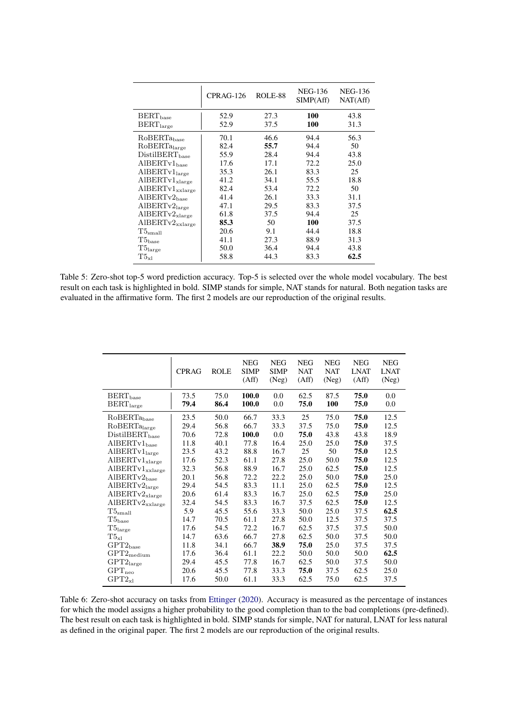<span id="page-7-0"></span>

|                                    | $CPRAG-126$ | <b>ROLE-88</b> | NEG-136<br>SIMP(Aff) | NEG-136<br>NAT(Aff) |
|------------------------------------|-------------|----------------|----------------------|---------------------|
| $BERT_{base}$                      | 52.9        | 27.3           | 100                  | 43.8                |
| $BERT_{large}$                     | 52.9        | 37.5           | 100                  | 31.3                |
| RoBERTa <sub>base</sub>            | 70.1        | 46.6           | 94.4                 | 56.3                |
| RoBERTalarge                       | 82.4        | 55.7           | 94.4                 | 50                  |
| DistilBERT <sub>base</sub>         | 55.9        | 28.4           | 94.4                 | 43.8                |
| $\text{AIBERTv1}_{\text{base}}$    | 17.6        | 17.1           | 72.2                 | 25.0                |
| $\text{AIBERTv1}_{\text{large}}$   | 35.3        | 26.1           | 83.3                 | 25                  |
| $\text{AIBERTv1}_{\text{xlarge}}$  | 41.2        | 34.1           | 55.5                 | 18.8                |
| $\text{AIBERTv1}_{\text{xxlarge}}$ | 82.4        | 53.4           | 72.2                 | 50                  |
| $AIBERTv2_{base}$                  | 41.4        | 26.1           | 33.3                 | 31.1                |
| $\text{AIBERTv2}_{\text{large}}$   | 47.1        | 29.5           | 83.3                 | 37.5                |
| $AIBERTv2_{xlarge}$                | 61.8        | 37.5           | 94.4                 | 25                  |
| $AIBERTv2_{xxlarge}$               | 85.3        | 50             | 100                  | 37.5                |
| T5 <sub>small</sub>                | 20.6        | 9.1            | 44.4                 | 18.8                |
| $\rm{T5}_{\rm{base}}$              | 41.1        | 27.3           | 88.9                 | 31.3                |
| T5 <sub>large</sub>                | 50.0        | 36.4           | 94.4                 | 43.8                |
| $T5_{x1}$                          | 58.8        | 44.3           | 83.3                 | 62.5                |

Table 5: Zero-shot top-5 word prediction accuracy. Top-5 is selected over the whole model vocabulary. The best result on each task is highlighted in bold. SIMP stands for simple, NAT stands for natural. Both negation tasks are evaluated in the affirmative form. The first 2 models are our reproduction of the original results.

<span id="page-7-1"></span>

|                                                   | <b>CPRAG</b> | <b>ROLE</b>  | <b>NEG</b><br><b>SIMP</b><br>(Aff) | <b>NEG</b><br><b>SIMP</b><br>(Neg) | <b>NEG</b><br><b>NAT</b><br>(Aff) | <b>NEG</b><br><b>NAT</b><br>(Neg) | <b>NEG</b><br><b>LNAT</b><br>(Aff) | <b>NEG</b><br><b>LNAT</b><br>(Neg) |
|---------------------------------------------------|--------------|--------------|------------------------------------|------------------------------------|-----------------------------------|-----------------------------------|------------------------------------|------------------------------------|
| $\text{BERT}_{\text{base}}$<br>$\rm BERT_{large}$ | 73.5<br>79.4 | 75.0<br>86.4 | 100.0<br>100.0                     | 0.0<br>0.0                         | 62.5<br>75.0                      | 87.5<br>100                       | 75.0<br>75.0                       | 0.0<br>0.0                         |
|                                                   |              |              |                                    |                                    |                                   |                                   |                                    |                                    |
| $RoBERTa_{base}$                                  | 23.5         | 50.0         | 66.7                               | 33.3                               | 25                                | 75.0                              | 75.0                               | 12.5                               |
| RoBERTa <sub>large</sub>                          | 29.4         | 56.8         | 66.7                               | 33.3                               | 37.5                              | 75.0                              | 75.0                               | 12.5                               |
| DistilBERT <sub>base</sub>                        | 70.6         | 72.8         | 100.0                              | 0.0                                | 75.0                              | 43.8                              | 43.8                               | 18.9                               |
| $\text{AIBERTv1}_\text{base}$                     | 11.8         | 40.1         | 77.8                               | 16.4                               | 25.0                              | 25.0                              | 75.0                               | 37.5                               |
| $\text{AIBERTv1}_\text{large}$                    | 23.5         | 43.2         | 88.8                               | 16.7                               | 25                                | 50                                | 75.0                               | 12.5                               |
| $\text{AIBERTv1}_\text{xlarge}$                   | 17.6         | 52.3         | 61.1                               | 27.8                               | 25.0                              | 50.0                              | 75.0                               | 12.5                               |
| $\text{AIBERTv1}_{\text{xxlarge}}$                | 32.3         | 56.8         | 88.9                               | 16.7                               | 25.0                              | 62.5                              | 75.0                               | 12.5                               |
| $AIBERTv2_{base}$                                 | 20.1         | 56.8         | 72.2                               | 22.2                               | 25.0                              | 50.0                              | 75.0                               | 25.0                               |
| $\text{AIBERTv2}_{\text{large}}$                  | 29.4         | 54.5         | 83.3                               | 11.1                               | 25.0                              | 62.5                              | 75.0                               | 12.5                               |
| $\rm\textbf{A} \text{IBERTv2}_{\rm xlarge}$       | 20.6         | 61.4         | 83.3                               | 16.7                               | 25.0                              | 62.5                              | 75.0                               | 25.0                               |
| $AIBERTv2_{xxlarge}$                              | 32.4         | 54.5         | 83.3                               | 16.7                               | 37.5                              | 62.5                              | 75.0                               | 12.5                               |
| $\rm{T5}_{\rm small}$                             | 5.9          | 45.5         | 55.6                               | 33.3                               | 50.0                              | 25.0                              | 37.5                               | 62.5                               |
| $\rm{T5}_{\rm{base}}$                             | 14.7         | 70.5         | 61.1                               | 27.8                               | 50.0                              | 12.5                              | 37.5                               | 37.5                               |
| $\rm{T5}_{\rm large}$                             | 17.6         | 54.5         | 72.2                               | 16.7                               | 62.5                              | 37.5                              | 37.5                               | 50.0                               |
| $\mathrm{T}5_{\mathrm{x}1}$                       | 14.7         | 63.6         | 66.7                               | 27.8                               | 62.5                              | 50.0                              | 37.5                               | 50.0                               |
| $\mathrm{GPT2}_\mathrm{base}$                     | 11.8         | 34.1         | 66.7                               | 38.9                               | 75.0                              | 25.0                              | 37.5                               | 37.5                               |
| $\mathrm{GPT2}_{\mathrm{medium}}$                 | 17.6         | 36.4         | 61.1                               | 22.2                               | 50.0                              | 50.0                              | 50.0                               | 62.5                               |
| $\mathrm{GPT2}_{\mathrm{large}}$                  | 29.4         | 45.5         | 77.8                               | 16.7                               | 62.5                              | 50.0                              | 37.5                               | 50.0                               |
| $\mathrm{GPT}_{\mathrm{neo}}$                     | 20.6         | 45.5         | 77.8                               | 33.3                               | 75.0                              | 37.5                              | 62.5                               | 25.0                               |
| $GPT2_{x1}$                                       | 17.6         | 50.0         | 61.1                               | 33.3                               | 62.5                              | 75.0                              | 62.5                               | 37.5                               |

Table 6: Zero-shot accuracy on tasks from [Ettinger](#page-8-2) [\(2020\)](#page-8-2). Accuracy is measured as the percentage of instances for which the model assigns a higher probability to the good completion than to the bad completions (pre-defined). The best result on each task is highlighted in bold. SIMP stands for simple, NAT for natural, LNAT for less natural as defined in the original paper. The first 2 models are our reproduction of the original results.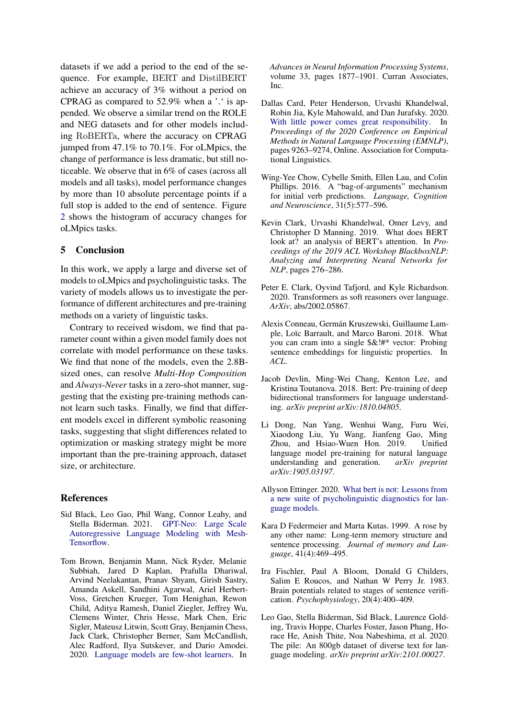datasets if we add a period to the end of the sequence. For example, BERT and DistilBERT achieve an accuracy of 3% without a period on CPRAG as compared to 52.9% when a '.' is appended. We observe a similar trend on the ROLE and NEG datasets and for other models including RoBERTa, where the accuracy on CPRAG jumped from 47.1% to 70.1%. For oLMpics, the change of performance is less dramatic, but still noticeable. We observe that in 6% of cases (across all models and all tasks), model performance changes by more than 10 absolute percentage points if a full stop is added to the end of sentence. Figure [2](#page-6-2) shows the histogram of accuracy changes for oLMpics tasks.

# 5 Conclusion

In this work, we apply a large and diverse set of models to oLMpics and psycholinguistic tasks. The variety of models allows us to investigate the performance of different architectures and pre-training methods on a variety of linguistic tasks.

Contrary to received wisdom, we find that parameter count within a given model family does not correlate with model performance on these tasks. We find that none of the models, even the 2.8Bsized ones, can resolve *Multi-Hop Composition* and *Always-Never* tasks in a zero-shot manner, suggesting that the existing pre-training methods cannot learn such tasks. Finally, we find that different models excel in different symbolic reasoning tasks, suggesting that slight differences related to optimization or masking strategy might be more important than the pre-training approach, dataset size, or architecture.

### References

- <span id="page-8-6"></span>Sid Black, Leo Gao, Phil Wang, Connor Leahy, and Stella Biderman. 2021. [GPT-Neo: Large Scale](https://doi.org/10.5281/zenodo.5297715) [Autoregressive Language Modeling with Mesh-](https://doi.org/10.5281/zenodo.5297715)[Tensorflow.](https://doi.org/10.5281/zenodo.5297715)
- <span id="page-8-11"></span>Tom Brown, Benjamin Mann, Nick Ryder, Melanie Subbiah, Jared D Kaplan, Prafulla Dhariwal, Arvind Neelakantan, Pranav Shyam, Girish Sastry, Amanda Askell, Sandhini Agarwal, Ariel Herbert-Voss, Gretchen Krueger, Tom Henighan, Rewon Child, Aditya Ramesh, Daniel Ziegler, Jeffrey Wu, Clemens Winter, Chris Hesse, Mark Chen, Eric Sigler, Mateusz Litwin, Scott Gray, Benjamin Chess, Jack Clark, Christopher Berner, Sam McCandlish, Alec Radford, Ilya Sutskever, and Dario Amodei. 2020. [Language models are few-shot learners.](https://proceedings.neurips.cc/paper/2020/file/1457c0d6bfcb4967418bfb8ac142f64a-Paper.pdf) In

*Advances in Neural Information Processing Systems*, volume 33, pages 1877–1901. Curran Associates, Inc.

- <span id="page-8-12"></span>Dallas Card, Peter Henderson, Urvashi Khandelwal, Robin Jia, Kyle Mahowald, and Dan Jurafsky. 2020. [With little power comes great responsibility.](https://doi.org/10.18653/v1/2020.emnlp-main.745) In *Proceedings of the 2020 Conference on Empirical Methods in Natural Language Processing (EMNLP)*, pages 9263–9274, Online. Association for Computational Linguistics.
- <span id="page-8-9"></span>Wing-Yee Chow, Cybelle Smith, Ellen Lau, and Colin Phillips. 2016. A "bag-of-arguments" mechanism for initial verb predictions. *Language, Cognition and Neuroscience*, 31(5):577–596.
- <span id="page-8-4"></span>Kevin Clark, Urvashi Khandelwal, Omer Levy, and Christopher D Manning. 2019. What does BERT look at? an analysis of BERT's attention. In *Proceedings of the 2019 ACL Workshop BlackboxNLP: Analyzing and Interpreting Neural Networks for NLP*, pages 276–286.
- <span id="page-8-3"></span>Peter E. Clark, Oyvind Tafjord, and Kyle Richardson. 2020. Transformers as soft reasoners over language. *ArXiv*, abs/2002.05867.
- <span id="page-8-5"></span>Alexis Conneau, Germán Kruszewski, Guillaume Lample, Loïc Barrault, and Marco Baroni. 2018. What you can cram into a single \$&!#\* vector: Probing sentence embeddings for linguistic properties. In *ACL*.
- <span id="page-8-0"></span>Jacob Devlin, Ming-Wei Chang, Kenton Lee, and Kristina Toutanova. 2018. Bert: Pre-training of deep bidirectional transformers for language understanding. *arXiv preprint arXiv:1810.04805*.
- <span id="page-8-1"></span>Li Dong, Nan Yang, Wenhui Wang, Furu Wei, Xiaodong Liu, Yu Wang, Jianfeng Gao, Ming Zhou, and Hsiao-Wuen Hon. 2019. Unified language model pre-training for natural language understanding and generation. *arXiv preprint arXiv:1905.03197*.
- <span id="page-8-2"></span>Allyson Ettinger. 2020. [What bert is not: Lessons from](http://arxiv.org/abs/1907.13528) [a new suite of psycholinguistic diagnostics for lan](http://arxiv.org/abs/1907.13528)[guage models.](http://arxiv.org/abs/1907.13528)
- <span id="page-8-8"></span>Kara D Federmeier and Marta Kutas. 1999. A rose by any other name: Long-term memory structure and sentence processing. *Journal of memory and Language*, 41(4):469–495.
- <span id="page-8-10"></span>Ira Fischler, Paul A Bloom, Donald G Childers, Salim E Roucos, and Nathan W Perry Jr. 1983. Brain potentials related to stages of sentence verification. *Psychophysiology*, 20(4):400–409.
- <span id="page-8-7"></span>Leo Gao, Stella Biderman, Sid Black, Laurence Golding, Travis Hoppe, Charles Foster, Jason Phang, Horace He, Anish Thite, Noa Nabeshima, et al. 2020. The pile: An 800gb dataset of diverse text for language modeling. *arXiv preprint arXiv:2101.00027*.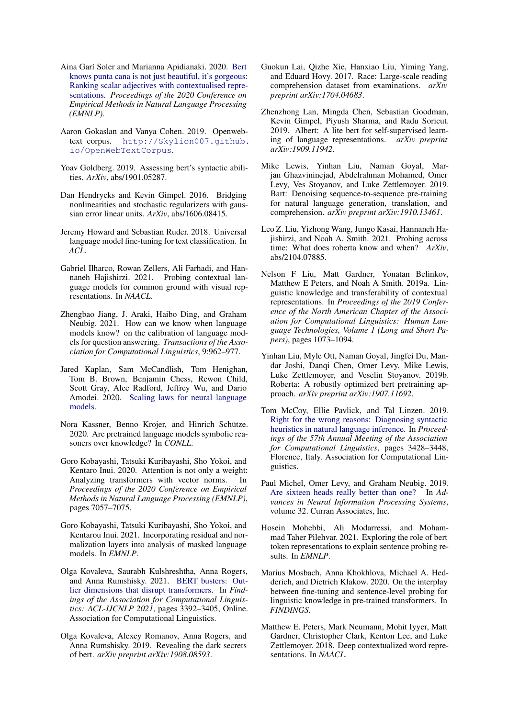- <span id="page-9-9"></span>Aina Garí Soler and Marianna Apidianaki. 2020. [Bert](https://doi.org/10.18653/v1/2020.emnlp-main.598) [knows punta cana is not just beautiful, it's gorgeous:](https://doi.org/10.18653/v1/2020.emnlp-main.598) [Ranking scalar adjectives with contextualised repre](https://doi.org/10.18653/v1/2020.emnlp-main.598)[sentations.](https://doi.org/10.18653/v1/2020.emnlp-main.598) *Proceedings of the 2020 Conference on Empirical Methods in Natural Language Processing (EMNLP)*.
- <span id="page-9-22"></span>Aaron Gokaslan and Vanya Cohen. 2019. Openwebtext corpus. [http://Skylion007.github.](http://Skylion007.github.io/OpenWebTextCorpus) [io/OpenWebTextCorpus](http://Skylion007.github.io/OpenWebTextCorpus).
- <span id="page-9-7"></span>Yoav Goldberg. 2019. Assessing bert's syntactic abilities. *ArXiv*, abs/1901.05287.
- <span id="page-9-21"></span>Dan Hendrycks and Kevin Gimpel. 2016. Bridging nonlinearities and stochastic regularizers with gaussian error linear units. *ArXiv*, abs/1606.08415.
- <span id="page-9-0"></span>Jeremy Howard and Sebastian Ruder. 2018. Universal language model fine-tuning for text classification. In *ACL*.
- <span id="page-9-15"></span>Gabriel Ilharco, Rowan Zellers, Ali Farhadi, and Hannaneh Hajishirzi. 2021. Probing contextual language models for common ground with visual representations. In *NAACL*.
- <span id="page-9-14"></span>Zhengbao Jiang, J. Araki, Haibo Ding, and Graham Neubig. 2021. How can we know when language models know? on the calibration of language models for question answering. *Transactions of the Association for Computational Linguistics*, 9:962–977.
- <span id="page-9-23"></span>Jared Kaplan, Sam McCandlish, Tom Henighan, Tom B. Brown, Benjamin Chess, Rewon Child, Scott Gray, Alec Radford, Jeffrey Wu, and Dario Amodei. 2020. [Scaling laws for neural language](http://arxiv.org/abs/2001.08361) [models.](http://arxiv.org/abs/2001.08361)
- <span id="page-9-10"></span>Nora Kassner, Benno Krojer, and Hinrich Schütze. 2020. Are pretrained language models symbolic reasoners over knowledge? In *CONLL*.
- <span id="page-9-8"></span>Goro Kobayashi, Tatsuki Kuribayashi, Sho Yokoi, and Kentaro Inui. 2020. Attention is not only a weight: Analyzing transformers with vector norms. In *Proceedings of the 2020 Conference on Empirical Methods in Natural Language Processing (EMNLP)*, pages 7057–7075.
- <span id="page-9-18"></span>Goro Kobayashi, Tatsuki Kuribayashi, Sho Yokoi, and Kentarou Inui. 2021. Incorporating residual and normalization layers into analysis of masked language models. In *EMNLP*.
- <span id="page-9-17"></span>Olga Kovaleva, Saurabh Kulshreshtha, Anna Rogers, and Anna Rumshisky. 2021. [BERT busters: Out](https://doi.org/10.18653/v1/2021.findings-acl.300)[lier dimensions that disrupt transformers.](https://doi.org/10.18653/v1/2021.findings-acl.300) In *Findings of the Association for Computational Linguistics: ACL-IJCNLP 2021*, pages 3392–3405, Online. Association for Computational Linguistics.
- <span id="page-9-19"></span>Olga Kovaleva, Alexey Romanov, Anna Rogers, and Anna Rumshisky. 2019. Revealing the dark secrets of bert. *arXiv preprint arXiv:1908.08593*.
- <span id="page-9-5"></span>Guokun Lai, Qizhe Xie, Hanxiao Liu, Yiming Yang, and Eduard Hovy. 2017. Race: Large-scale reading comprehension dataset from examinations. *arXiv preprint arXiv:1704.04683*.
- <span id="page-9-4"></span>Zhenzhong Lan, Mingda Chen, Sebastian Goodman, Kevin Gimpel, Piyush Sharma, and Radu Soricut. 2019. Albert: A lite bert for self-supervised learning of language representations. *arXiv preprint arXiv:1909.11942*.
- <span id="page-9-2"></span>Mike Lewis, Yinhan Liu, Naman Goyal, Marjan Ghazvininejad, Abdelrahman Mohamed, Omer Levy, Ves Stoyanov, and Luke Zettlemoyer. 2019. Bart: Denoising sequence-to-sequence pre-training for natural language generation, translation, and comprehension. *arXiv preprint arXiv:1910.13461*.
- <span id="page-9-12"></span>Leo Z. Liu, Yizhong Wang, Jungo Kasai, Hannaneh Hajishirzi, and Noah A. Smith. 2021. Probing across time: What does roberta know and when? *ArXiv*, abs/2104.07885.
- <span id="page-9-20"></span>Nelson F Liu, Matt Gardner, Yonatan Belinkov, Matthew E Peters, and Noah A Smith. 2019a. Linguistic knowledge and transferability of contextual representations. In *Proceedings of the 2019 Conference of the North American Chapter of the Association for Computational Linguistics: Human Language Technologies, Volume 1 (Long and Short Papers)*, pages 1073–1094.
- <span id="page-9-3"></span>Yinhan Liu, Myle Ott, Naman Goyal, Jingfei Du, Mandar Joshi, Danqi Chen, Omer Levy, Mike Lewis, Luke Zettlemoyer, and Veselin Stoyanov. 2019b. Roberta: A robustly optimized bert pretraining approach. *arXiv preprint arXiv:1907.11692*.
- <span id="page-9-6"></span>Tom McCoy, Ellie Pavlick, and Tal Linzen. 2019. [Right for the wrong reasons: Diagnosing syntactic](https://doi.org/10.18653/v1/P19-1334) [heuristics in natural language inference.](https://doi.org/10.18653/v1/P19-1334) In *Proceedings of the 57th Annual Meeting of the Association for Computational Linguistics*, pages 3428–3448, Florence, Italy. Association for Computational Linguistics.
- <span id="page-9-16"></span>Paul Michel, Omer Levy, and Graham Neubig. 2019. [Are sixteen heads really better than one?](https://proceedings.neurips.cc/paper/2019/file/2c601ad9d2ff9bc8b282670cdd54f69f-Paper.pdf) In *Advances in Neural Information Processing Systems*, volume 32. Curran Associates, Inc.
- <span id="page-9-11"></span>Hosein Mohebbi, Ali Modarressi, and Mohammad Taher Pilehvar. 2021. Exploring the role of bert token representations to explain sentence probing results. In *EMNLP*.
- <span id="page-9-13"></span>Marius Mosbach, Anna Khokhlova, Michael A. Hedderich, and Dietrich Klakow. 2020. On the interplay between fine-tuning and sentence-level probing for linguistic knowledge in pre-trained transformers. In *FINDINGS*.
- <span id="page-9-1"></span>Matthew E. Peters, Mark Neumann, Mohit Iyyer, Matt Gardner, Christopher Clark, Kenton Lee, and Luke Zettlemoyer. 2018. Deep contextualized word representations. In *NAACL*.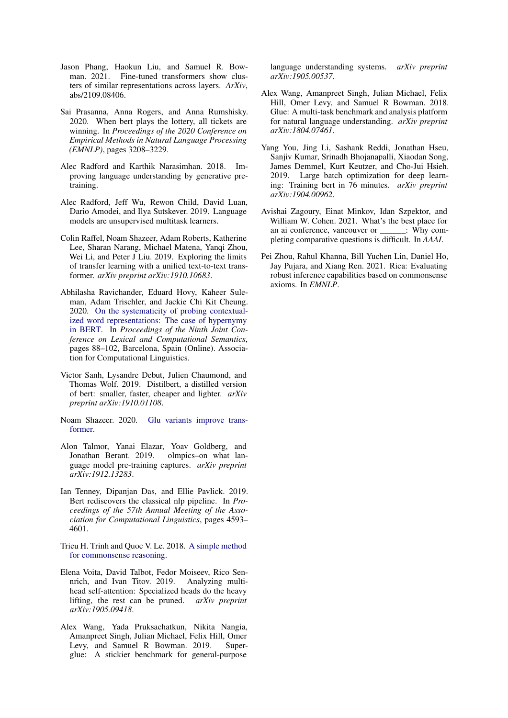- <span id="page-10-7"></span>Jason Phang, Haokun Liu, and Samuel R. Bowman. 2021. Fine-tuned transformers show clusters of similar representations across layers. *ArXiv*, abs/2109.08406.
- <span id="page-10-11"></span>Sai Prasanna, Anna Rogers, and Anna Rumshisky. 2020. When bert plays the lottery, all tickets are winning. In *Proceedings of the 2020 Conference on Empirical Methods in Natural Language Processing (EMNLP)*, pages 3208–3229.
- <span id="page-10-0"></span>Alec Radford and Karthik Narasimhan. 2018. Improving language understanding by generative pretraining.
- <span id="page-10-9"></span>Alec Radford, Jeff Wu, Rewon Child, David Luan, Dario Amodei, and Ilya Sutskever. 2019. Language models are unsupervised multitask learners.
- <span id="page-10-1"></span>Colin Raffel, Noam Shazeer, Adam Roberts, Katherine Lee, Sharan Narang, Michael Matena, Yanqi Zhou, Wei Li, and Peter J Liu. 2019. Exploring the limits of transfer learning with a unified text-to-text transformer. *arXiv preprint arXiv:1910.10683*.
- <span id="page-10-6"></span>Abhilasha Ravichander, Eduard Hovy, Kaheer Suleman, Adam Trischler, and Jackie Chi Kit Cheung. 2020. [On the systematicity of probing contextual](https://aclanthology.org/2020.starsem-1.10)[ized word representations: The case of hypernymy](https://aclanthology.org/2020.starsem-1.10) [in BERT.](https://aclanthology.org/2020.starsem-1.10) In *Proceedings of the Ninth Joint Conference on Lexical and Computational Semantics*, pages 88–102, Barcelona, Spain (Online). Association for Computational Linguistics.
- <span id="page-10-14"></span>Victor Sanh, Lysandre Debut, Julien Chaumond, and Thomas Wolf. 2019. Distilbert, a distilled version of bert: smaller, faster, cheaper and lighter. *arXiv preprint arXiv:1910.01108*.
- <span id="page-10-16"></span>Noam Shazeer. 2020. [Glu variants improve trans](http://arxiv.org/abs/2002.05202)[former.](http://arxiv.org/abs/2002.05202)
- <span id="page-10-4"></span>Alon Talmor, Yanai Elazar, Yoav Goldberg, and Jonathan Berant. 2019. olmpics–on what language model pre-training captures. *arXiv preprint arXiv:1912.13283*.
- <span id="page-10-12"></span>Ian Tenney, Dipanjan Das, and Ellie Pavlick. 2019. Bert rediscovers the classical nlp pipeline. In *Proceedings of the 57th Annual Meeting of the Association for Computational Linguistics*, pages 4593– 4601.
- <span id="page-10-13"></span>Trieu H. Trinh and Quoc V. Le. 2018. [A simple method](http://arxiv.org/abs/1806.02847) [for commonsense reasoning.](http://arxiv.org/abs/1806.02847)
- <span id="page-10-10"></span>Elena Voita, David Talbot, Fedor Moiseev, Rico Sennrich, and Ivan Titov. 2019. Analyzing multihead self-attention: Specialized heads do the heavy lifting, the rest can be pruned. *arXiv preprint arXiv:1905.09418*.
- <span id="page-10-3"></span>Alex Wang, Yada Pruksachatkun, Nikita Nangia, Amanpreet Singh, Julian Michael, Felix Hill, Omer Levy, and Samuel R Bowman. 2019. Superglue: A stickier benchmark for general-purpose

language understanding systems. *arXiv preprint arXiv:1905.00537*.

- <span id="page-10-2"></span>Alex Wang, Amanpreet Singh, Julian Michael, Felix Hill, Omer Levy, and Samuel R Bowman. 2018. Glue: A multi-task benchmark and analysis platform for natural language understanding. *arXiv preprint arXiv:1804.07461*.
- <span id="page-10-15"></span>Yang You, Jing Li, Sashank Reddi, Jonathan Hseu, Sanjiv Kumar, Srinadh Bhojanapalli, Xiaodan Song, James Demmel, Kurt Keutzer, and Cho-Jui Hsieh. 2019. Large batch optimization for deep learning: Training bert in 76 minutes. *arXiv preprint arXiv:1904.00962*.
- <span id="page-10-5"></span>Avishai Zagoury, Einat Minkov, Idan Szpektor, and William W. Cohen. 2021. What's the best place for an ai conference, vancouver or  $\cdot$  Why completing comparative questions is difficult. In *AAAI*.
- <span id="page-10-8"></span>Pei Zhou, Rahul Khanna, Bill Yuchen Lin, Daniel Ho, Jay Pujara, and Xiang Ren. 2021. Rica: Evaluating robust inference capabilities based on commonsense axioms. In *EMNLP*.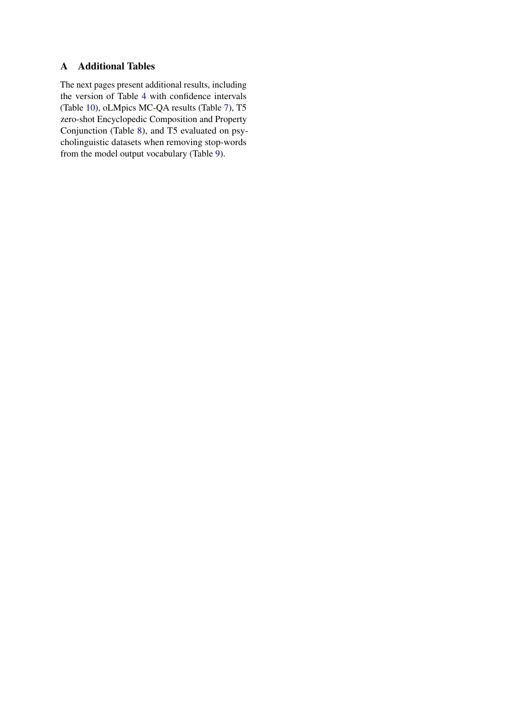# A Additional Tables

The next pages present additional results, including the version of Table [4](#page-5-0) with confidence intervals (Table [10\)](#page-13-0), oLMpics MC-QA results (Table [7\)](#page-12-0), T5 zero-shot Encyclopedic Composition and Property Conjunction (Table [8\)](#page-12-1), and T5 evaluated on psycholinguistic datasets when removing stop-words from the model output vocabulary (Table [9\)](#page-12-2).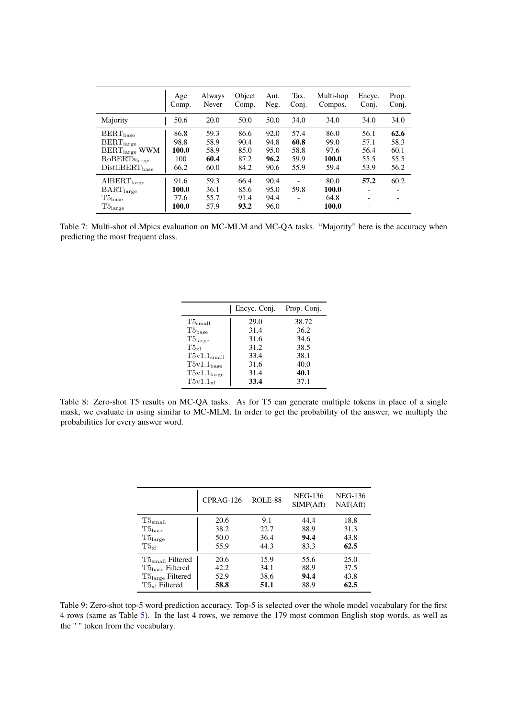<span id="page-12-0"></span>

|                                                                                                 | Age                            | Always                       | Object                       | Ant.                         | Tax.                             | Multi-hop                      | Encyc.                                                       | Prop. |
|-------------------------------------------------------------------------------------------------|--------------------------------|------------------------------|------------------------------|------------------------------|----------------------------------|--------------------------------|--------------------------------------------------------------|-------|
|                                                                                                 | Comp.                          | Never                        | Comp.                        | Neg.                         | Conj.                            | Compos.                        | Coni.                                                        | Conj. |
| Majority                                                                                        | 50.6                           | 20.0                         | 50.0                         | 50.0                         | 34.0                             | 34.0                           | 34.0                                                         | 34.0  |
| $BERT_{base}$                                                                                   | 86.8                           | 59.3                         | 86.6                         | 92.0                         | 57.4                             | 86.0                           | 56.1                                                         | 62.6  |
| $BERT_{large}$                                                                                  | 98.8                           | 58.9                         | 90.4                         | 94.8                         | 60.8                             | 99.0                           | 57.1                                                         | 58.3  |
| $BERT_{large}$ WWM                                                                              | 100.0                          | 58.9                         | 85.0                         | 95.0                         | 58.8                             | 97.6                           | 56.4                                                         | 60.1  |
| RoBERTalarge                                                                                    | 100                            | 60.4                         | 87.2                         | 96.2                         | 59.9                             | 100.0                          | 55.5                                                         | 55.5  |
| $DistilBERT_{base}$                                                                             | 66.2                           | 60.0                         | 84.2                         | 90.6                         | 55.9                             | 59.4                           | 53.9                                                         | 56.2  |
| $\text{AIBERT}_{\text{large}}$<br>$\text{BART}_\text{large}$<br>$T5_{base}$<br>$T5_{\rm large}$ | 91.6<br>100.0<br>77.6<br>100.0 | 59.3<br>36.1<br>55.7<br>57.9 | 66.4<br>85.6<br>91.4<br>93.2 | 90.4<br>95.0<br>94.4<br>96.0 | 59.8<br>$\overline{\phantom{0}}$ | 80.0<br>100.0<br>64.8<br>100.0 | 57.2<br>$\overline{\phantom{a}}$<br>$\overline{\phantom{0}}$ | 60.2  |

<span id="page-12-1"></span>Table 7: Multi-shot oLMpics evaluation on MC-MLM and MC-QA tasks. "Majority" here is the accuracy when predicting the most frequent class.

|                         | Encyc. Conj. | Prop. Conj. |
|-------------------------|--------------|-------------|
| $T5_{\rm small}$        | 29.0         | 38.72       |
| $T5_{base}$             | 31.4         | 36.2        |
| T5 <sub>large</sub>     | 31.6         | 34.6        |
| $T_{\rm 5x1}$           | 31.2         | 38.5        |
| T5v1.1 <sub>small</sub> | 33.4         | 38.1        |
| $T5v1.1_{base}$         | 31.6         | 40.0        |
| T5v1.1 <sub>large</sub> | 31.4         | 40.1        |
| $T5v1.1_{x1}$           | 33.4         | 37.1        |

Table 8: Zero-shot T5 results on MC-QA tasks. As for T5 can generate multiple tokens in place of a single mask, we evaluate in using similar to MC-MLM. In order to get the probability of the answer, we multiply the probabilities for every answer word.

<span id="page-12-2"></span>

|                              | $CPRAG-126$ | ROLE-88 | NEG-136<br>SIMP(Aff) | <b>NEG-136</b><br>NAT(Aff) |
|------------------------------|-------------|---------|----------------------|----------------------------|
| $T5$ <sub>small</sub>        | 20.6        | 9.1     | 44.4                 | 18.8                       |
| $T5_{base}$                  | 38.2        | 22.7    | 88.9                 | 31.3                       |
| $T5_{\rm large}$             | 50.0        | 36.4    | 94.4                 | 43.8                       |
| $T5_{x1}$                    | 55.9        | 44.3    | 83.3                 | 62.5                       |
| $T5small$ Filtered           | 20.6        | 15.9    | 55.6                 | 25.0                       |
| $T5_{base}$ Filtered         | 42.2        | 34.1    | 88.9                 | 37.5                       |
| T5 <sub>large</sub> Filtered | 52.9        | 38.6    | 94.4                 | 43.8                       |
| $T5_{x1}$ Filtered           | 58.8        | 51.1    | 88.9                 | 62.5                       |

Table 9: Zero-shot top-5 word prediction accuracy. Top-5 is selected over the whole model vocabulary for the first 4 rows (same as Table [5\)](#page-7-0). In the last 4 rows, we remove the 179 most common English stop words, as well as the " " token from the vocabulary.